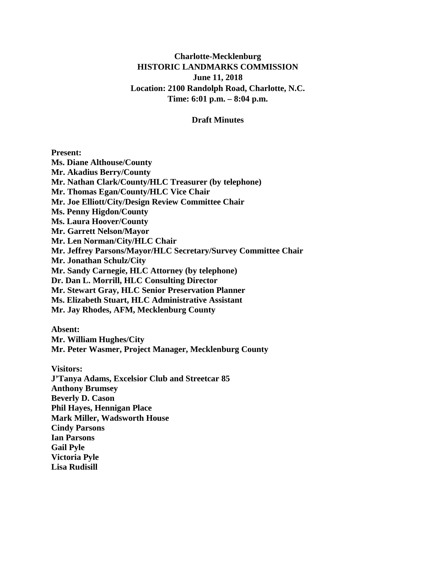## **Charlotte-Mecklenburg HISTORIC LANDMARKS COMMISSION June 11, 2018 Location: 2100 Randolph Road, Charlotte, N.C. Time: 6:01 p.m. – 8:04 p.m.**

#### **Draft Minutes**

**Present: Ms. Diane Althouse/County Mr. Akadius Berry/County Mr. Nathan Clark/County/HLC Treasurer (by telephone) Mr. Thomas Egan/County/HLC Vice Chair Mr. Joe Elliott/City/Design Review Committee Chair Ms. Penny Higdon/County Ms. Laura Hoover/County Mr. Garrett Nelson/Mayor Mr. Len Norman/City/HLC Chair Mr. Jeffrey Parsons/Mayor/HLC Secretary/Survey Committee Chair Mr. Jonathan Schulz/City Mr. Sandy Carnegie, HLC Attorney (by telephone) Dr. Dan L. Morrill, HLC Consulting Director Mr. Stewart Gray, HLC Senior Preservation Planner Ms. Elizabeth Stuart, HLC Administrative Assistant Mr. Jay Rhodes, AFM, Mecklenburg County**

**Absent:**

**Mr. William Hughes/City Mr. Peter Wasmer, Project Manager, Mecklenburg County**

**Visitors: J'Tanya Adams, Excelsior Club and Streetcar 85 Anthony Brumsey Beverly D. Cason Phil Hayes, Hennigan Place Mark Miller, Wadsworth House Cindy Parsons Ian Parsons Gail Pyle Victoria Pyle Lisa Rudisill**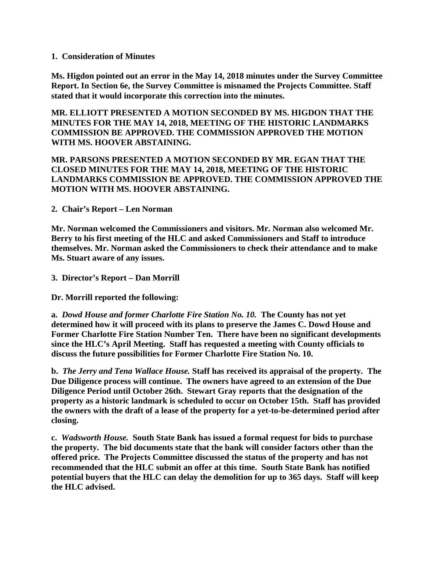#### **1. Consideration of Minutes**

**Ms. Higdon pointed out an error in the May 14, 2018 minutes under the Survey Committee Report. In Section 6e, the Survey Committee is misnamed the Projects Committee. Staff stated that it would incorporate this correction into the minutes.** 

**MR. ELLIOTT PRESENTED A MOTION SECONDED BY MS. HIGDON THAT THE MINUTES FOR THE MAY 14, 2018, MEETING OF THE HISTORIC LANDMARKS COMMISSION BE APPROVED. THE COMMISSION APPROVED THE MOTION WITH MS. HOOVER ABSTAINING.** 

#### **MR. PARSONS PRESENTED A MOTION SECONDED BY MR. EGAN THAT THE CLOSED MINUTES FOR THE MAY 14, 2018, MEETING OF THE HISTORIC LANDMARKS COMMISSION BE APPROVED. THE COMMISSION APPROVED THE MOTION WITH MS. HOOVER ABSTAINING.**

**2. Chair's Report – Len Norman**

**Mr. Norman welcomed the Commissioners and visitors. Mr. Norman also welcomed Mr. Berry to his first meeting of the HLC and asked Commissioners and Staff to introduce themselves. Mr. Norman asked the Commissioners to check their attendance and to make Ms. Stuart aware of any issues.**

**3. Director's Report – Dan Morrill**

**Dr. Morrill reported the following:**

**a.** *Dowd House and former Charlotte Fire Station No. 10.* **The County has not yet determined how it will proceed with its plans to preserve the James C. Dowd House and Former Charlotte Fire Station Number Ten. There have been no significant developments since the HLC's April Meeting. Staff has requested a meeting with County officials to discuss the future possibilities for Former Charlotte Fire Station No. 10.**

**b.** *The Jerry and Tena Wallace House.* **Staff has received its appraisal of the property. The Due Diligence process will continue. The owners have agreed to an extension of the Due Diligence Period until October 26th. Stewart Gray reports that the designation of the property as a historic landmark is scheduled to occur on October 15th. Staff has provided the owners with the draft of a lease of the property for a yet-to-be-determined period after closing.**

**c.** *Wadsworth House.* **South State Bank has issued a formal request for bids to purchase the property. The bid documents state that the bank will consider factors other than the offered price. The Projects Committee discussed the status of the property and has not recommended that the HLC submit an offer at this time. South State Bank has notified potential buyers that the HLC can delay the demolition for up to 365 days. Staff will keep the HLC advised.**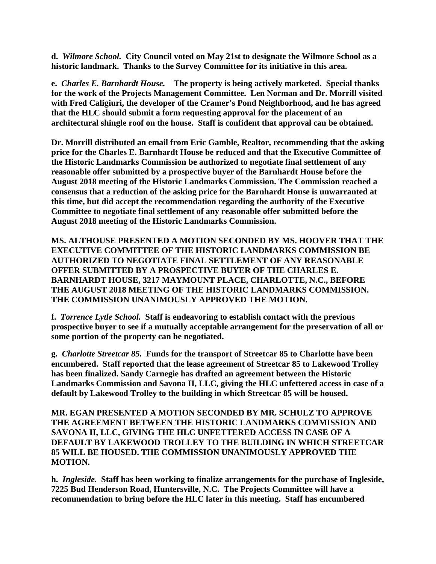**d.** *Wilmore School.* **City Council voted on May 21st to designate the Wilmore School as a historic landmark. Thanks to the Survey Committee for its initiative in this area.**

**e.** *Charles E. Barnhardt House.* **The property is being actively marketed. Special thanks for the work of the Projects Management Committee. Len Norman and Dr. Morrill visited with Fred Caligiuri, the developer of the Cramer's Pond Neighborhood, and he has agreed that the HLC should submit a form requesting approval for the placement of an architectural shingle roof on the house. Staff is confident that approval can be obtained.**

**Dr. Morrill distributed an email from Eric Gamble, Realtor, recommending that the asking price for the Charles E. Barnhardt House be reduced and that the Executive Committee of the Historic Landmarks Commission be authorized to negotiate final settlement of any reasonable offer submitted by a prospective buyer of the Barnhardt House before the August 2018 meeting of the Historic Landmarks Commission. The Commission reached a consensus that a reduction of the asking price for the Barnhardt House is unwarranted at this time, but did accept the recommendation regarding the authority of the Executive Committee to negotiate final settlement of any reasonable offer submitted before the August 2018 meeting of the Historic Landmarks Commission.**

**MS. ALTHOUSE PRESENTED A MOTION SECONDED BY MS. HOOVER THAT THE EXECUTIVE COMMITTEE OF THE HISTORIC LANDMARKS COMMISSION BE AUTHORIZED TO NEGOTIATE FINAL SETTLEMENT OF ANY REASONABLE OFFER SUBMITTED BY A PROSPECTIVE BUYER OF THE CHARLES E. BARNHARDT HOUSE, 3217 MAYMOUNT PLACE, CHARLOTTE, N.C., BEFORE THE AUGUST 2018 MEETING OF THE HISTORIC LANDMARKS COMMISSION. THE COMMISSION UNANIMOUSLY APPROVED THE MOTION.**

**f.** *Torrence Lytle School.* **Staff is endeavoring to establish contact with the previous prospective buyer to see if a mutually acceptable arrangement for the preservation of all or some portion of the property can be negotiated.**

**g.** *Charlotte Streetcar 85.* **Funds for the transport of Streetcar 85 to Charlotte have been encumbered. Staff reported that the lease agreement of Streetcar 85 to Lakewood Trolley has been finalized. Sandy Carnegie has drafted an agreement between the Historic Landmarks Commission and Savona II, LLC, giving the HLC unfettered access in case of a default by Lakewood Trolley to the building in which Streetcar 85 will be housed.**

**MR. EGAN PRESENTED A MOTION SECONDED BY MR. SCHULZ TO APPROVE THE AGREEMENT BETWEEN THE HISTORIC LANDMARKS COMMISSION AND SAVONA II, LLC, GIVING THE HLC UNFETTERED ACCESS IN CASE OF A DEFAULT BY LAKEWOOD TROLLEY TO THE BUILDING IN WHICH STREETCAR 85 WILL BE HOUSED. THE COMMISSION UNANIMOUSLY APPROVED THE MOTION.** 

**h.** *Ingleside.* **Staff has been working to finalize arrangements for the purchase of Ingleside, 7225 Bud Henderson Road, Huntersville, N.C. The Projects Committee will have a recommendation to bring before the HLC later in this meeting. Staff has encumbered**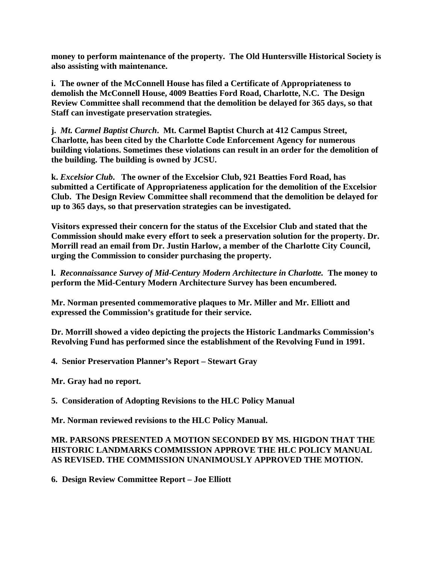**money to perform maintenance of the property. The Old Huntersville Historical Society is also assisting with maintenance.**

**i. The owner of the McConnell House has filed a Certificate of Appropriateness to demolish the McConnell House, 4009 Beatties Ford Road, Charlotte, N.C. The Design Review Committee shall recommend that the demolition be delayed for 365 days, so that Staff can investigate preservation strategies.**

**j.** *Mt. Carmel Baptist Church***. Mt. Carmel Baptist Church at 412 Campus Street, Charlotte, has been cited by the Charlotte Code Enforcement Agency for numerous building violations. Sometimes these violations can result in an order for the demolition of the building. The building is owned by JCSU.**

**k.** *Excelsior Club***. The owner of the Excelsior Club, 921 Beatties Ford Road, has submitted a Certificate of Appropriateness application for the demolition of the Excelsior Club. The Design Review Committee shall recommend that the demolition be delayed for up to 365 days, so that preservation strategies can be investigated.**

**Visitors expressed their concern for the status of the Excelsior Club and stated that the Commission should make every effort to seek a preservation solution for the property. Dr. Morrill read an email from Dr. Justin Harlow, a member of the Charlotte City Council, urging the Commission to consider purchasing the property.** 

**l.** *Reconnaissance Survey of Mid-Century Modern Architecture in Charlotte.* **The money to perform the Mid-Century Modern Architecture Survey has been encumbered.**

**Mr. Norman presented commemorative plaques to Mr. Miller and Mr. Elliott and expressed the Commission's gratitude for their service.** 

**Dr. Morrill showed a video depicting the projects the Historic Landmarks Commission's Revolving Fund has performed since the establishment of the Revolving Fund in 1991.** 

**4. Senior Preservation Planner's Report – Stewart Gray**

**Mr. Gray had no report.** 

**5. Consideration of Adopting Revisions to the HLC Policy Manual**

**Mr. Norman reviewed revisions to the HLC Policy Manual.**

## **MR. PARSONS PRESENTED A MOTION SECONDED BY MS. HIGDON THAT THE HISTORIC LANDMARKS COMMISSION APPROVE THE HLC POLICY MANUAL AS REVISED. THE COMMISSION UNANIMOUSLY APPROVED THE MOTION.**

**6. Design Review Committee Report – Joe Elliott**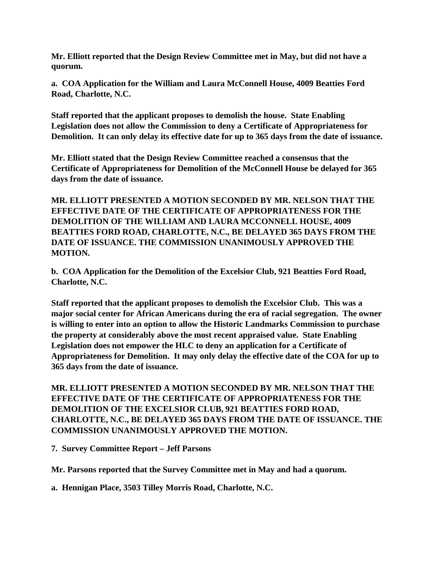**Mr. Elliott reported that the Design Review Committee met in May, but did not have a quorum.** 

**a. COA Application for the William and Laura McConnell House, 4009 Beatties Ford Road, Charlotte, N.C.**

**Staff reported that the applicant proposes to demolish the house. State Enabling Legislation does not allow the Commission to deny a Certificate of Appropriateness for Demolition. It can only delay its effective date for up to 365 days from the date of issuance.**

**Mr. Elliott stated that the Design Review Committee reached a consensus that the Certificate of Appropriateness for Demolition of the McConnell House be delayed for 365 days from the date of issuance.** 

**MR. ELLIOTT PRESENTED A MOTION SECONDED BY MR. NELSON THAT THE EFFECTIVE DATE OF THE CERTIFICATE OF APPROPRIATENESS FOR THE DEMOLITION OF THE WILLIAM AND LAURA MCCONNELL HOUSE, 4009 BEATTIES FORD ROAD, CHARLOTTE, N.C., BE DELAYED 365 DAYS FROM THE DATE OF ISSUANCE. THE COMMISSION UNANIMOUSLY APPROVED THE MOTION.** 

**b. COA Application for the Demolition of the Excelsior Club, 921 Beatties Ford Road, Charlotte, N.C.**

**Staff reported that the applicant proposes to demolish the Excelsior Club. This was a major social center for African Americans during the era of racial segregation. The owner is willing to enter into an option to allow the Historic Landmarks Commission to purchase the property at considerably above the most recent appraised value. State Enabling Legislation does not empower the HLC to deny an application for a Certificate of Appropriateness for Demolition. It may only delay the effective date of the COA for up to 365 days from the date of issuance.**

**MR. ELLIOTT PRESENTED A MOTION SECONDED BY MR. NELSON THAT THE EFFECTIVE DATE OF THE CERTIFICATE OF APPROPRIATENESS FOR THE DEMOLITION OF THE EXCELSIOR CLUB, 921 BEATTIES FORD ROAD, CHARLOTTE, N.C., BE DELAYED 365 DAYS FROM THE DATE OF ISSUANCE. THE COMMISSION UNANIMOUSLY APPROVED THE MOTION.**

**7. Survey Committee Report – Jeff Parsons**

**Mr. Parsons reported that the Survey Committee met in May and had a quorum.**

**a. Hennigan Place, 3503 Tilley Morris Road, Charlotte, N.C.**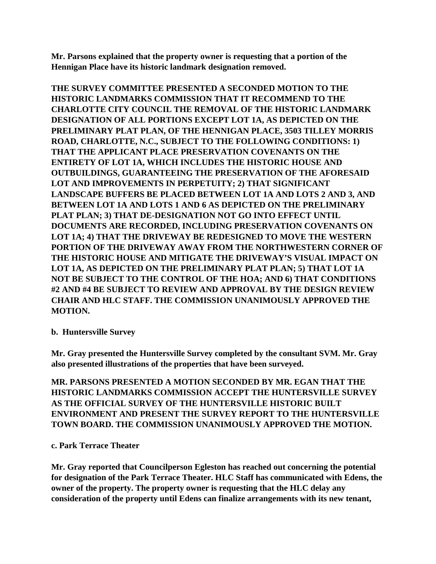**Mr. Parsons explained that the property owner is requesting that a portion of the Hennigan Place have its historic landmark designation removed.** 

**THE SURVEY COMMITTEE PRESENTED A SECONDED MOTION TO THE HISTORIC LANDMARKS COMMISSION THAT IT RECOMMEND TO THE CHARLOTTE CITY COUNCIL THE REMOVAL OF THE HISTORIC LANDMARK DESIGNATION OF ALL PORTIONS EXCEPT LOT 1A, AS DEPICTED ON THE PRELIMINARY PLAT PLAN, OF THE HENNIGAN PLACE, 3503 TILLEY MORRIS ROAD, CHARLOTTE, N.C., SUBJECT TO THE FOLLOWING CONDITIONS: 1) THAT THE APPLICANT PLACE PRESERVATION COVENANTS ON THE ENTIRETY OF LOT 1A, WHICH INCLUDES THE HISTORIC HOUSE AND OUTBUILDINGS, GUARANTEEING THE PRESERVATION OF THE AFORESAID LOT AND IMPROVEMENTS IN PERPETUITY; 2) THAT SIGNIFICANT LANDSCAPE BUFFERS BE PLACED BETWEEN LOT 1A AND LOTS 2 AND 3, AND BETWEEN LOT 1A AND LOTS 1 AND 6 AS DEPICTED ON THE PRELIMINARY PLAT PLAN; 3) THAT DE-DESIGNATION NOT GO INTO EFFECT UNTIL DOCUMENTS ARE RECORDED, INCLUDING PRESERVATION COVENANTS ON LOT 1A; 4) THAT THE DRIVEWAY BE REDESIGNED TO MOVE THE WESTERN PORTION OF THE DRIVEWAY AWAY FROM THE NORTHWESTERN CORNER OF THE HISTORIC HOUSE AND MITIGATE THE DRIVEWAY'S VISUAL IMPACT ON LOT 1A, AS DEPICTED ON THE PRELIMINARY PLAT PLAN; 5) THAT LOT 1A NOT BE SUBJECT TO THE CONTROL OF THE HOA; AND 6) THAT CONDITIONS #2 AND #4 BE SUBJECT TO REVIEW AND APPROVAL BY THE DESIGN REVIEW CHAIR AND HLC STAFF. THE COMMISSION UNANIMOUSLY APPROVED THE MOTION.**

**b. Huntersville Survey**

**Mr. Gray presented the Huntersville Survey completed by the consultant SVM. Mr. Gray also presented illustrations of the properties that have been surveyed.** 

**MR. PARSONS PRESENTED A MOTION SECONDED BY MR. EGAN THAT THE HISTORIC LANDMARKS COMMISSION ACCEPT THE HUNTERSVILLE SURVEY AS THE OFFICIAL SURVEY OF THE HUNTERSVILLE HISTORIC BUILT ENVIRONMENT AND PRESENT THE SURVEY REPORT TO THE HUNTERSVILLE TOWN BOARD. THE COMMISSION UNANIMOUSLY APPROVED THE MOTION.**

# **c. Park Terrace Theater**

**Mr. Gray reported that Councilperson Egleston has reached out concerning the potential for designation of the Park Terrace Theater. HLC Staff has communicated with Edens, the owner of the property. The property owner is requesting that the HLC delay any consideration of the property until Edens can finalize arrangements with its new tenant,**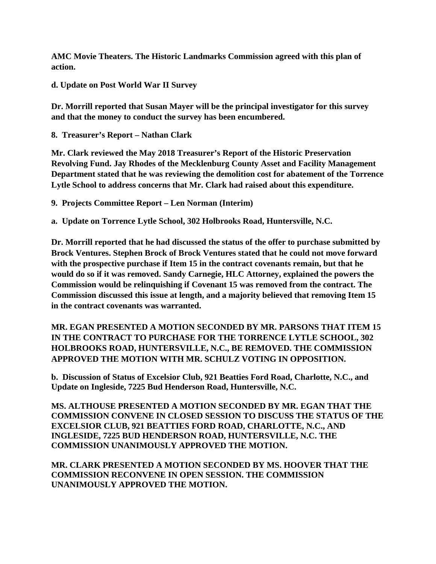**AMC Movie Theaters. The Historic Landmarks Commission agreed with this plan of action.**

**d. Update on Post World War II Survey**

**Dr. Morrill reported that Susan Mayer will be the principal investigator for this survey and that the money to conduct the survey has been encumbered.**

**8. Treasurer's Report – Nathan Clark**

**Mr. Clark reviewed the May 2018 Treasurer's Report of the Historic Preservation Revolving Fund. Jay Rhodes of the Mecklenburg County Asset and Facility Management Department stated that he was reviewing the demolition cost for abatement of the Torrence Lytle School to address concerns that Mr. Clark had raised about this expenditure.** 

**9. Projects Committee Report – Len Norman (Interim)**

**a. Update on Torrence Lytle School, 302 Holbrooks Road, Huntersville, N.C.**

**Dr. Morrill reported that he had discussed the status of the offer to purchase submitted by Brock Ventures. Stephen Brock of Brock Ventures stated that he could not move forward with the prospective purchase if Item 15 in the contract covenants remain, but that he would do so if it was removed. Sandy Carnegie, HLC Attorney, explained the powers the Commission would be relinquishing if Covenant 15 was removed from the contract. The Commission discussed this issue at length, and a majority believed that removing Item 15 in the contract covenants was warranted.** 

**MR. EGAN PRESENTED A MOTION SECONDED BY MR. PARSONS THAT ITEM 15 IN THE CONTRACT TO PURCHASE FOR THE TORRENCE LYTLE SCHOOL, 302 HOLBROOKS ROAD, HUNTERSVILLE, N.C., BE REMOVED. THE COMMISSION APPROVED THE MOTION WITH MR. SCHULZ VOTING IN OPPOSITION.** 

**b. Discussion of Status of Excelsior Club, 921 Beatties Ford Road, Charlotte, N.C., and Update on Ingleside, 7225 Bud Henderson Road, Huntersville, N.C.**

**MS. ALTHOUSE PRESENTED A MOTION SECONDED BY MR. EGAN THAT THE COMMISSION CONVENE IN CLOSED SESSION TO DISCUSS THE STATUS OF THE EXCELSIOR CLUB, 921 BEATTIES FORD ROAD, CHARLOTTE, N.C., AND INGLESIDE, 7225 BUD HENDERSON ROAD, HUNTERSVILLE, N.C. THE COMMISSION UNANIMOUSLY APPROVED THE MOTION.** 

**MR. CLARK PRESENTED A MOTION SECONDED BY MS. HOOVER THAT THE COMMISSION RECONVENE IN OPEN SESSION. THE COMMISSION UNANIMOUSLY APPROVED THE MOTION.**